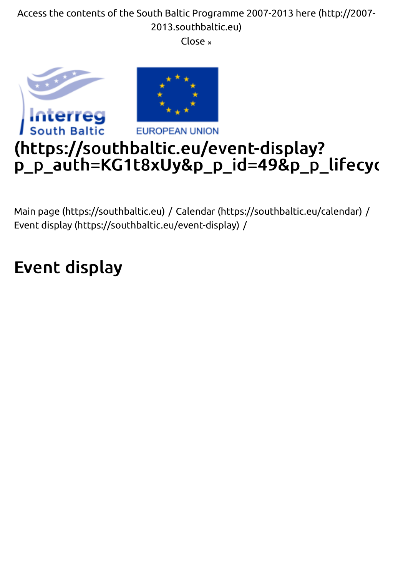2013.southbaltic.eu) [Close](http://2007-2013.southbaltic.eu/) <sub>×</sub>



Main page (https://southbaltic.eu) / Calendar (https://southbaltic.eu/calendar) / [Event display \(https://southbaltic.e](https://southbaltic.eu/)u[/event-display\)](https://southbaltic.eu/calendar) /

# Event display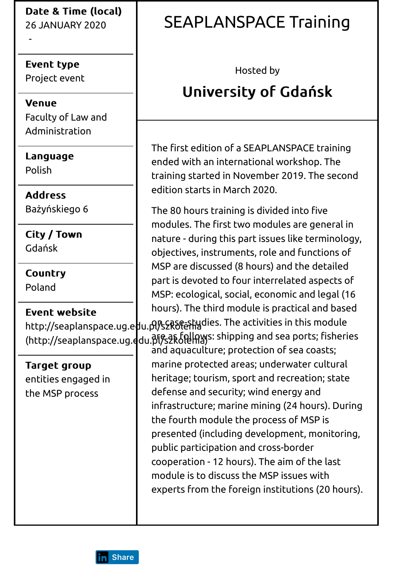26 JANUARY 2020

Event type Project event

-

**Venue** Faculty of Law and Administration

**Language** Polish

**Address** Bażyńskiego 6

City / Town Gdańsk

**Country** Poland

Event website

(http://seaplanspace.ug.අdu.βl͡ß͡sयृRo͡tel͡hals: shipping and sea ports; fisheries

[Target group](http://seaplanspace.ug.edu.pl/szkolenia) entities engaged in the MSP process

#### SEAPLANSPACE Training

Hosted by

## University of Gdańsk

The first edition of a SEAPLANSPACE training ended with an international workshop. The training started in November 2019. The second edition starts in March 2020.

http://seaplanspace.ug.e<mark>du.pl/s2RSftaHi</mark>gdies. The activities in this module The 80 hours training is divided into five modules. The first two modules are general in nature - during this part issues like terminology, objectives, instruments, role and functions of MSP are discussed (8 hours) and the detailed part is devoted to four interrelated aspects of MSP: ecological, social, economic and legal (16 hours). The third module is practical and based

> and aquaculture; protection of sea coasts; marine protected areas; underwater cultural heritage; tourism, sport and recreation; state defense and security; wind energy and infrastructure; marine mining (24 hours). During the fourth module the process of MSP is presented (including development, monitoring, public participation and cross-border cooperation - 12 hours). The aim of the last module is to discuss the MSP issues with experts from the foreign institutions (20 hours).